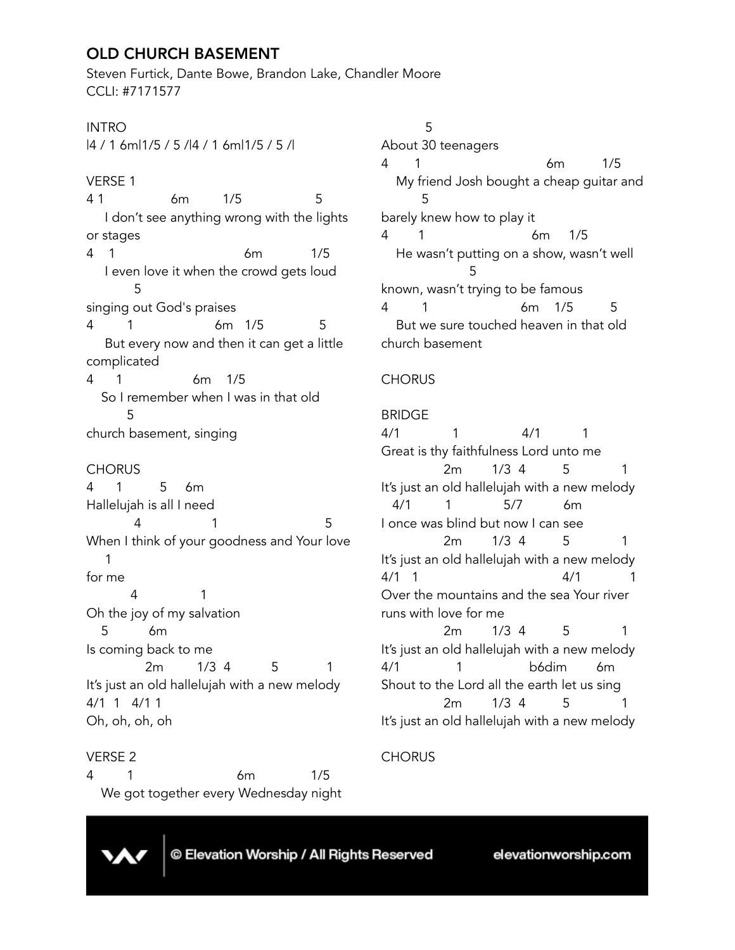# OLD CHURCH BASEMENT

Steven Furtick, Dante Bowe, Brandon Lake, Chandler Moore CCLI: #7171577

# INTRO

|4 / 1 6m|1/5 / 5 /|4 / 1 6m|1/5 / 5 /|

# VERSE 1

4 1 6m 1/5 5 I don't see anything wrong with the lights or stages 4 1 6m 1/5 I even love it when the crowd gets loud 5 singing out God's praises 4 1 6m 1/5 5 But every now and then it can get a little complicated 4 1 6m 1/5 So I remember when I was in that old 5 church basement, singing **CHORUS** 4 1 5 6m Hallelujah is all I need 4 1 5 When I think of your goodness and Your love 1 for me 4 1 Oh the joy of my salvation 5 6m Is coming back to me 2m 1/3 4 5 1 It's just an old hallelujah with a new melody 4/1 1 4/1 1 Oh, oh, oh, oh

### VERSE 2

4 1 6m 1/5 We got together every Wednesday night

 5 About 30 teenagers 4 1 6m 1/5 My friend Josh bought a cheap guitar and 5 barely knew how to play it 4 1 6m 1/5 He wasn't putting on a show, wasn't well 5 known, wasn't trying to be famous 4 1 6m 1/5 5 But we sure touched heaven in that old church basement

# **CHORUS**

#### BRIDGE

4/1 1 4/1 1 Great is thy faithfulness Lord unto me 2m 1/3 4 5 1 It's just an old hallelujah with a new melody 4/1 1 5/7 6m I once was blind but now I can see 2m 1/3 4 5 1 It's just an old hallelujah with a new melody 4/1 1 4/1 1 Over the mountains and the sea Your river runs with love for me 2m 1/3 4 5 1 It's just an old hallelujah with a new melody 4/1 1 b6dim 6m Shout to the Lord all the earth let us sing 2m 1/3 4 5 1 It's just an old hallelujah with a new melody

### **CHORUS**



© Elevation Worship / All Rights Reserved

elevationworship.com